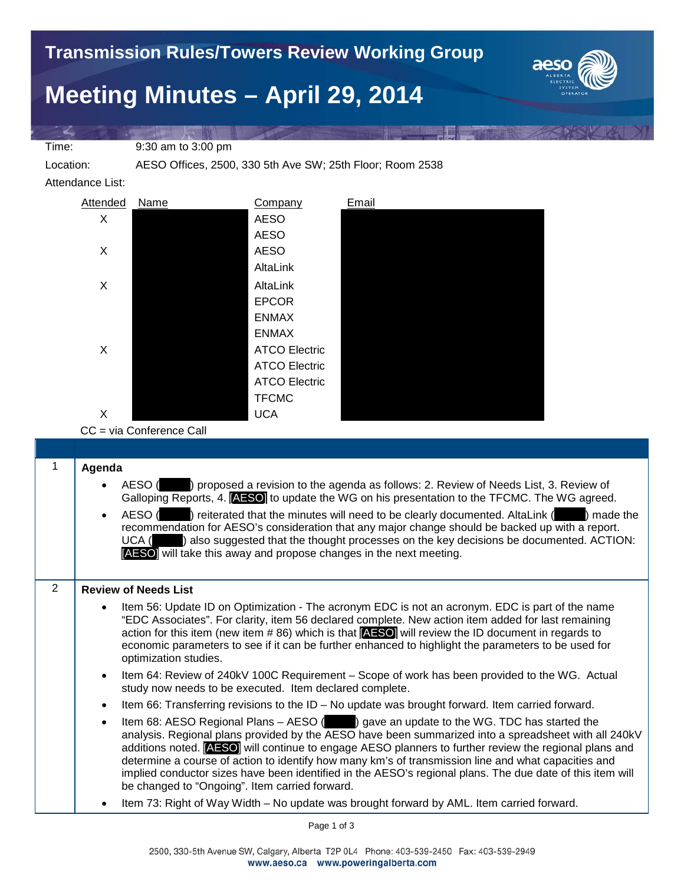## **Meeting Minutes – April 29, 2014**



Time: 9:30 am to 3:00 pm

Location: AESO Offices, 2500, 330 5th Ave SW; 25th Floor; Room 2538

Attendance List:



CC = via Conference Call

|                | Agenda                                                                                                                                                                                                                                                                                                                                                                                                                                                                                                                                                                                         |  |  |  |  |
|----------------|------------------------------------------------------------------------------------------------------------------------------------------------------------------------------------------------------------------------------------------------------------------------------------------------------------------------------------------------------------------------------------------------------------------------------------------------------------------------------------------------------------------------------------------------------------------------------------------------|--|--|--|--|
|                | AESO () proposed a revision to the agenda as follows: 2. Review of Needs List, 3. Review of<br>$\bullet$<br>Galloping Reports, 4. <b>AESO</b> to update the WG on his presentation to the TFCMC. The WG agreed.                                                                                                                                                                                                                                                                                                                                                                                |  |  |  |  |
|                | AESO () reiterated that the minutes will need to be clearly documented. AltaLink () made the<br>$\bullet$<br>recommendation for AESO's consideration that any major change should be backed up with a report.<br>UCA () also suggested that the thought processes on the key decisions be documented. ACTION:<br>[AESO] will take this away and propose changes in the next meeting.                                                                                                                                                                                                           |  |  |  |  |
| $\overline{2}$ | <b>Review of Needs List</b>                                                                                                                                                                                                                                                                                                                                                                                                                                                                                                                                                                    |  |  |  |  |
|                | Item 56: Update ID on Optimization - The acronym EDC is not an acronym. EDC is part of the name<br>$\bullet$<br>"EDC Associates". For clarity, item 56 declared complete. New action item added for last remaining<br>action for this item (new item $\# 86$ ) which is that $[{\bf AESO}]$ will review the ID document in regards to<br>economic parameters to see if it can be further enhanced to highlight the parameters to be used for<br>optimization studies.                                                                                                                          |  |  |  |  |
|                | Item 64: Review of 240kV 100C Requirement – Scope of work has been provided to the WG. Actual<br>$\bullet$<br>study now needs to be executed. Item declared complete.                                                                                                                                                                                                                                                                                                                                                                                                                          |  |  |  |  |
|                | Item 66: Transferring revisions to the ID - No update was brought forward. Item carried forward.<br>$\bullet$                                                                                                                                                                                                                                                                                                                                                                                                                                                                                  |  |  |  |  |
|                | Item 68: AESO Regional Plans – AESO () gave an update to the WG. TDC has started the<br>$\bullet$<br>analysis. Regional plans provided by the AESO have been summarized into a spreadsheet with all 240kV<br>additions noted. <b>AESO</b> will continue to engage AESO planners to further review the regional plans and<br>determine a course of action to identify how many km's of transmission line and what capacities and<br>implied conductor sizes have been identified in the AESO's regional plans. The due date of this item will<br>be changed to "Ongoing". Item carried forward. |  |  |  |  |
|                | Item 73: Right of Way Width - No update was brought forward by AML. Item carried forward.<br>$\bullet$                                                                                                                                                                                                                                                                                                                                                                                                                                                                                         |  |  |  |  |

Page 1 of 3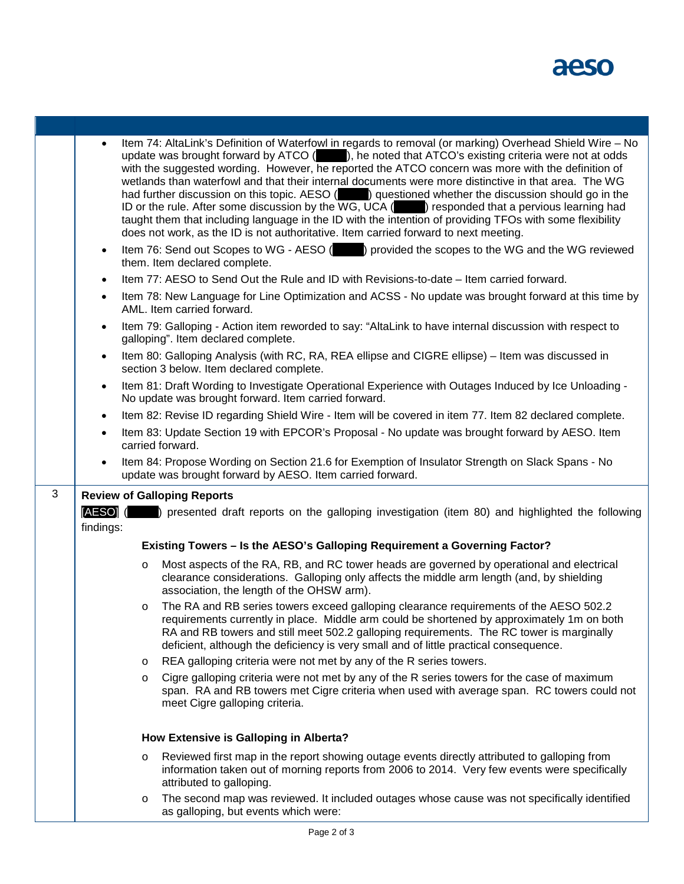aeso

ı

|                                                  | Item 74: AltaLink's Definition of Waterfowl in regards to removal (or marking) Overhead Shield Wire - No<br>$\bullet$<br>update was brought forward by ATCO (), he noted that ATCO's existing criteria were not at odds<br>with the suggested wording. However, he reported the ATCO concern was more with the definition of<br>wetlands than waterfowl and that their internal documents were more distinctive in that area. The WG<br>had further discussion on this topic. AESO () questioned whether the discussion should go in the<br>ID or the rule. After some discussion by the WG, UCA () responded that a pervious learning had<br>taught them that including language in the ID with the intention of providing TFOs with some flexibility<br>does not work, as the ID is not authoritative. Item carried forward to next meeting. |         |                                                                                                                                                                                                                                                                                                                                                                          |  |  |
|--------------------------------------------------|------------------------------------------------------------------------------------------------------------------------------------------------------------------------------------------------------------------------------------------------------------------------------------------------------------------------------------------------------------------------------------------------------------------------------------------------------------------------------------------------------------------------------------------------------------------------------------------------------------------------------------------------------------------------------------------------------------------------------------------------------------------------------------------------------------------------------------------------|---------|--------------------------------------------------------------------------------------------------------------------------------------------------------------------------------------------------------------------------------------------------------------------------------------------------------------------------------------------------------------------------|--|--|
|                                                  | $\bullet$                                                                                                                                                                                                                                                                                                                                                                                                                                                                                                                                                                                                                                                                                                                                                                                                                                      |         | Item 76: Send out Scopes to WG - AESO () provided the scopes to the WG and the WG reviewed<br>them. Item declared complete.                                                                                                                                                                                                                                              |  |  |
|                                                  | $\bullet$                                                                                                                                                                                                                                                                                                                                                                                                                                                                                                                                                                                                                                                                                                                                                                                                                                      |         | Item 77: AESO to Send Out the Rule and ID with Revisions-to-date - Item carried forward.                                                                                                                                                                                                                                                                                 |  |  |
|                                                  | Item 78: New Language for Line Optimization and ACSS - No update was brought forward at this time by<br>$\bullet$<br>AML. Item carried forward.                                                                                                                                                                                                                                                                                                                                                                                                                                                                                                                                                                                                                                                                                                |         |                                                                                                                                                                                                                                                                                                                                                                          |  |  |
| $\bullet$<br>galloping". Item declared complete. |                                                                                                                                                                                                                                                                                                                                                                                                                                                                                                                                                                                                                                                                                                                                                                                                                                                |         | Item 79: Galloping - Action item reworded to say: "AltaLink to have internal discussion with respect to                                                                                                                                                                                                                                                                  |  |  |
|                                                  | Item 80: Galloping Analysis (with RC, RA, REA ellipse and CIGRE ellipse) – Item was discussed in<br>$\bullet$<br>section 3 below. Item declared complete.                                                                                                                                                                                                                                                                                                                                                                                                                                                                                                                                                                                                                                                                                      |         |                                                                                                                                                                                                                                                                                                                                                                          |  |  |
|                                                  | Item 81: Draft Wording to Investigate Operational Experience with Outages Induced by Ice Unloading -<br>$\bullet$<br>No update was brought forward. Item carried forward.                                                                                                                                                                                                                                                                                                                                                                                                                                                                                                                                                                                                                                                                      |         |                                                                                                                                                                                                                                                                                                                                                                          |  |  |
|                                                  | $\bullet$                                                                                                                                                                                                                                                                                                                                                                                                                                                                                                                                                                                                                                                                                                                                                                                                                                      |         | Item 82: Revise ID regarding Shield Wire - Item will be covered in item 77. Item 82 declared complete.                                                                                                                                                                                                                                                                   |  |  |
|                                                  | $\bullet$                                                                                                                                                                                                                                                                                                                                                                                                                                                                                                                                                                                                                                                                                                                                                                                                                                      |         | Item 83: Update Section 19 with EPCOR's Proposal - No update was brought forward by AESO. Item<br>carried forward.                                                                                                                                                                                                                                                       |  |  |
|                                                  |                                                                                                                                                                                                                                                                                                                                                                                                                                                                                                                                                                                                                                                                                                                                                                                                                                                |         | Item 84: Propose Wording on Section 21.6 for Exemption of Insulator Strength on Slack Spans - No<br>update was brought forward by AESO. Item carried forward.                                                                                                                                                                                                            |  |  |
| 3                                                |                                                                                                                                                                                                                                                                                                                                                                                                                                                                                                                                                                                                                                                                                                                                                                                                                                                |         | <b>Review of Galloping Reports</b>                                                                                                                                                                                                                                                                                                                                       |  |  |
|                                                  | [AESO] (<br>) presented draft reports on the galloping investigation (item 80) and highlighted the following<br>findings:                                                                                                                                                                                                                                                                                                                                                                                                                                                                                                                                                                                                                                                                                                                      |         |                                                                                                                                                                                                                                                                                                                                                                          |  |  |
|                                                  |                                                                                                                                                                                                                                                                                                                                                                                                                                                                                                                                                                                                                                                                                                                                                                                                                                                |         | Existing Towers - Is the AESO's Galloping Requirement a Governing Factor?                                                                                                                                                                                                                                                                                                |  |  |
|                                                  |                                                                                                                                                                                                                                                                                                                                                                                                                                                                                                                                                                                                                                                                                                                                                                                                                                                | O       | Most aspects of the RA, RB, and RC tower heads are governed by operational and electrical<br>clearance considerations. Galloping only affects the middle arm length (and, by shielding<br>association, the length of the OHSW arm).                                                                                                                                      |  |  |
|                                                  |                                                                                                                                                                                                                                                                                                                                                                                                                                                                                                                                                                                                                                                                                                                                                                                                                                                | $\circ$ | The RA and RB series towers exceed galloping clearance requirements of the AESO 502.2<br>requirements currently in place. Middle arm could be shortened by approximately 1m on both<br>RA and RB towers and still meet 502.2 galloping requirements. The RC tower is marginally<br>deficient, although the deficiency is very small and of little practical consequence. |  |  |
|                                                  |                                                                                                                                                                                                                                                                                                                                                                                                                                                                                                                                                                                                                                                                                                                                                                                                                                                | $\circ$ | REA galloping criteria were not met by any of the R series towers.                                                                                                                                                                                                                                                                                                       |  |  |
|                                                  |                                                                                                                                                                                                                                                                                                                                                                                                                                                                                                                                                                                                                                                                                                                                                                                                                                                | $\circ$ | Cigre galloping criteria were not met by any of the R series towers for the case of maximum<br>span. RA and RB towers met Cigre criteria when used with average span. RC towers could not<br>meet Cigre galloping criteria.                                                                                                                                              |  |  |
|                                                  | How Extensive is Galloping in Alberta?                                                                                                                                                                                                                                                                                                                                                                                                                                                                                                                                                                                                                                                                                                                                                                                                         |         |                                                                                                                                                                                                                                                                                                                                                                          |  |  |
|                                                  |                                                                                                                                                                                                                                                                                                                                                                                                                                                                                                                                                                                                                                                                                                                                                                                                                                                | $\circ$ | Reviewed first map in the report showing outage events directly attributed to galloping from<br>information taken out of morning reports from 2006 to 2014. Very few events were specifically<br>attributed to galloping.                                                                                                                                                |  |  |
|                                                  |                                                                                                                                                                                                                                                                                                                                                                                                                                                                                                                                                                                                                                                                                                                                                                                                                                                | $\circ$ | The second map was reviewed. It included outages whose cause was not specifically identified                                                                                                                                                                                                                                                                             |  |  |